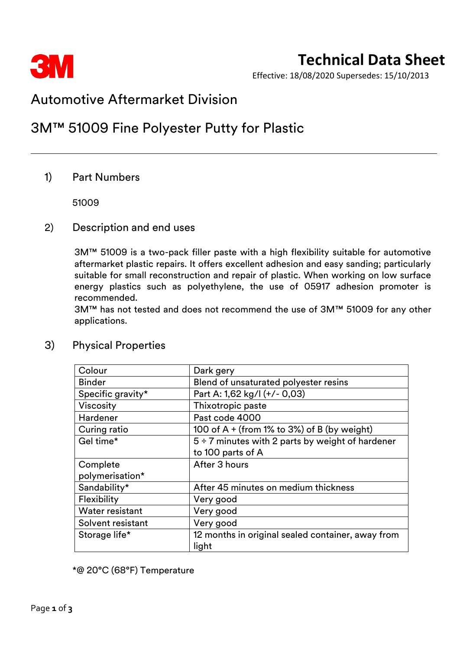

Effective: 18/08/2020 Supersedes: 15/10/2013

# Automotive Aftermarket Division

# 3M™ 51009 Fine Polyester Putty for Plastic

# 1) Part Numbers

51009

### 2) Description and end uses

3M™ 51009 is a two-pack filler paste with a high flexibility suitable for automotive aftermarket plastic repairs. It offers excellent adhesion and easy sanding; particularly suitable for small reconstruction and repair of plastic. When working on low surface energy plastics such as polyethylene, the use of 05917 adhesion promoter is recommended.

3M™ has not tested and does not recommend the use of 3M™ 51009 for any other applications.

| Colour            | Dark gery                                             |  |
|-------------------|-------------------------------------------------------|--|
| <b>Binder</b>     | Blend of unsaturated polyester resins                 |  |
| Specific gravity* | Part A: 1,62 kg/l (+/- 0,03)                          |  |
| <b>Viscosity</b>  | Thixotropic paste                                     |  |
| Hardener          | Past code 4000                                        |  |
| Curing ratio      | 100 of $A + (from 1\% to 3\%)$ of B (by weight)       |  |
| Gel time*         | $5 \div 7$ minutes with 2 parts by weight of hardener |  |
|                   | to 100 parts of A                                     |  |
| Complete          | After 3 hours                                         |  |
| polymerisation*   |                                                       |  |
| Sandability*      | After 45 minutes on medium thickness                  |  |
| Flexibility       | Very good                                             |  |
| Water resistant   | Very good                                             |  |
| Solvent resistant | Very good                                             |  |
| Storage life*     | 12 months in original sealed container, away from     |  |
|                   | light                                                 |  |

# 3) Physical Properties

\*@ 20°C (68°F) Temperature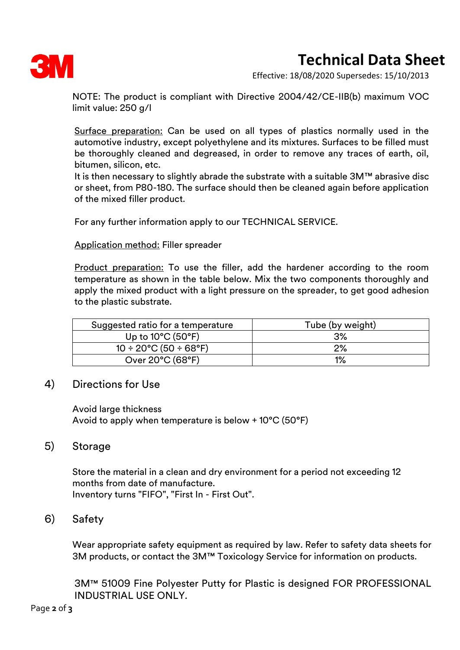

# **Technical Data Sheet**

Effective: 18/08/2020 Supersedes: 15/10/2013

NOTE: The product is compliant with Directive 2004/42/CE-IIB(b) maximum VOC limit value: 250 g/l

Surface preparation: Can be used on all types of plastics normally used in the automotive industry, except polyethylene and its mixtures. Surfaces to be filled must be thoroughly cleaned and degreased, in order to remove any traces of earth, oil, bitumen, silicon, etc.

It is then necessary to slightly abrade the substrate with a suitable 3M™ abrasive disc or sheet, from P80-180. The surface should then be cleaned again before application of the mixed filler product.

For any further information apply to our TECHNICAL SERVICE.

#### Application method: Filler spreader

Product preparation: To use the filler, add the hardener according to the room temperature as shown in the table below. Mix the two components thoroughly and apply the mixed product with a light pressure on the spreader, to get good adhesion to the plastic substrate.

| Suggested ratio for a temperature       | Tube (by weight) |  |
|-----------------------------------------|------------------|--|
| Up to $10^{\circ}$ C (50 $^{\circ}$ F)  | 3%               |  |
| $10 \div 20^{\circ}$ C (50 $\div$ 68°F) | 2%               |  |
| Over 20°C (68°F)                        | 1%               |  |

#### 4) Directions for Use

Avoid large thickness Avoid to apply when temperature is below + 10°C (50°F)

#### 5) Storage

Store the material in a clean and dry environment for a period not exceeding 12 months from date of manufacture. Inventory turns "FIFO", "First In - First Out".

## 6) Safety

Wear appropriate safety equipment as required by law. Refer to safety data sheets for 3M products, or contact the 3M™ Toxicology Service for information on products.

3M™ 51009 Fine Polyester Putty for Plastic is designed FOR PROFESSIONAL INDUSTRIAL USE ONLY.